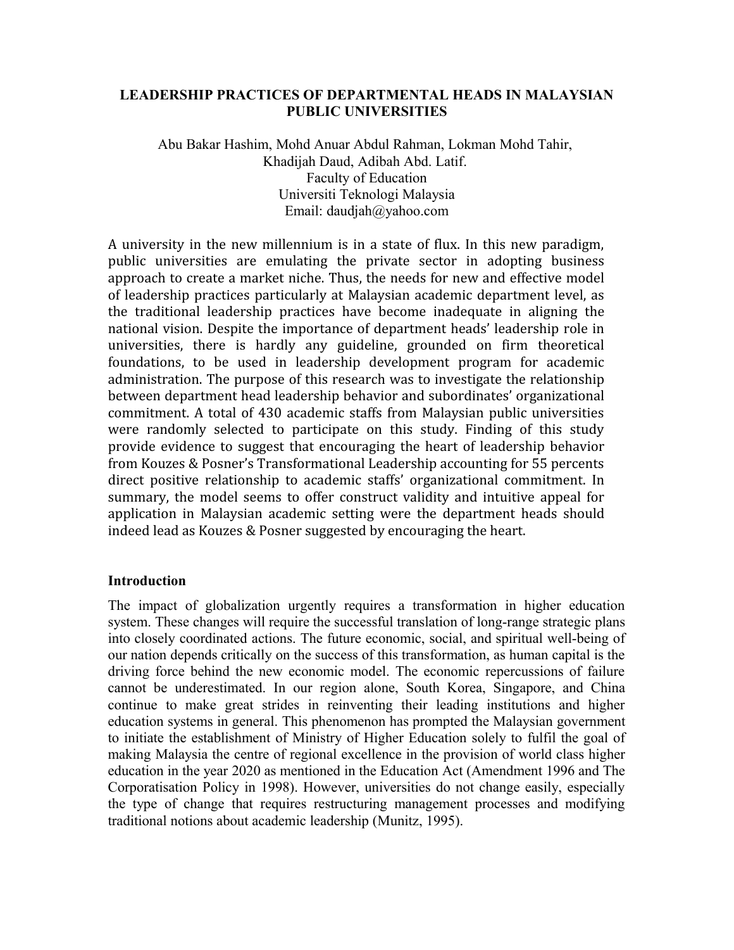# **LEADERSHIP PRACTICES OF DEPARTMENTAL HEADS IN MALAYSIAN PUBLIC UNIVERSITIES**

Abu Bakar Hashim, Mohd Anuar Abdul Rahman, Lokman Mohd Tahir, Khadijah Daud, Adibah Abd. Latif. Faculty of Education Universiti Teknologi Malaysia Email: daudjah@yahoo.com

A university in the new millennium is in a state of flux. In this new paradigm, public universities are emulating the private sector in adopting business approach to create a market niche. Thus, the needs for new and effective model of leadership practices particularly at Malaysian academic department level, as the traditional leadership practices have become inadequate in aligning the national vision. Despite the importance of department heads' leadership role in universities, there is hardly any guideline, grounded on firm theoretical foundations, to be used in leadership development program for academic administration. The purpose of this research was to investigate the relationship between department head leadership behavior and subordinates' organizational commitment. A total of 430 academic staffs from Malaysian public universities were randomly selected to participate on this study. Finding of this study provide evidence to suggest that encouraging the heart of leadership behavior from Kouzes & Posner's Transformational Leadership accounting for 55 percents direct positive relationship to academic staffs' organizational commitment. In summary, the model seems to offer construct validity and intuitive appeal for application in Malaysian academic setting were the department heads should indeed lead as Kouzes & Posner suggested by encouraging the heart.

# **Introduction**

The impact of globalization urgently requires a transformation in higher education system. These changes will require the successful translation of long-range strategic plans into closely coordinated actions. The future economic, social, and spiritual well-being of our nation depends critically on the success of this transformation, as human capital is the driving force behind the new economic model. The economic repercussions of failure cannot be underestimated. In our region alone, South Korea, Singapore, and China continue to make great strides in reinventing their leading institutions and higher education systems in general. This phenomenon has prompted the Malaysian government to initiate the establishment of Ministry of Higher Education solely to fulfil the goal of making Malaysia the centre of regional excellence in the provision of world class higher education in the year 2020 as mentioned in the Education Act (Amendment 1996 and The Corporatisation Policy in 1998). However, universities do not change easily, especially the type of change that requires restructuring management processes and modifying traditional notions about academic leadership (Munitz, 1995).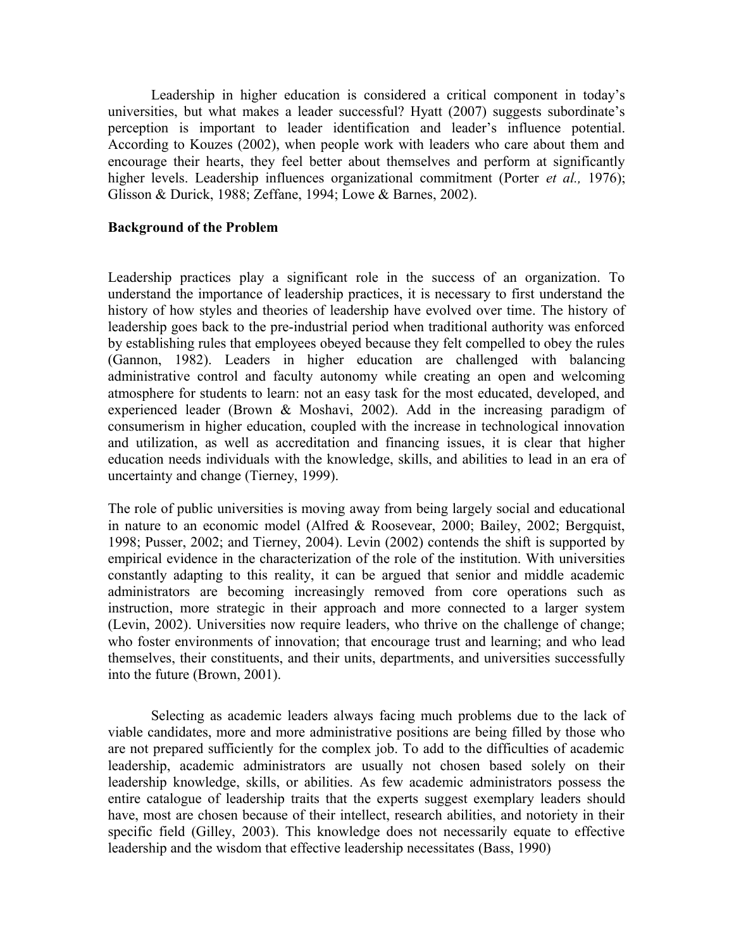Leadership in higher education is considered a critical component in today's universities, but what makes a leader successful? Hyatt (2007) suggests subordinate's perception is important to leader identification and leader's influence potential. According to Kouzes (2002), when people work with leaders who care about them and encourage their hearts, they feel better about themselves and perform at significantly higher levels. Leadership influences organizational commitment (Porter *et al.,* 1976); Glisson & Durick, 1988; Zeffane, 1994; Lowe & Barnes, 2002).

### **Background of the Problem**

Leadership practices play a significant role in the success of an organization. To understand the importance of leadership practices, it is necessary to first understand the history of how styles and theories of leadership have evolved over time. The history of leadership goes back to the pre-industrial period when traditional authority was enforced by establishing rules that employees obeyed because they felt compelled to obey the rules (Gannon, 1982). Leaders in higher education are challenged with balancing administrative control and faculty autonomy while creating an open and welcoming atmosphere for students to learn: not an easy task for the most educated, developed, and experienced leader (Brown & Moshavi, 2002). Add in the increasing paradigm of consumerism in higher education, coupled with the increase in technological innovation and utilization, as well as accreditation and financing issues, it is clear that higher education needs individuals with the knowledge, skills, and abilities to lead in an era of uncertainty and change (Tierney, 1999).

The role of public universities is moving away from being largely social and educational in nature to an economic model (Alfred & Roosevear, 2000; Bailey, 2002; Bergquist, 1998; Pusser, 2002; and Tierney, 2004). Levin (2002) contends the shift is supported by empirical evidence in the characterization of the role of the institution. With universities constantly adapting to this reality, it can be argued that senior and middle academic administrators are becoming increasingly removed from core operations such as instruction, more strategic in their approach and more connected to a larger system (Levin, 2002). Universities now require leaders, who thrive on the challenge of change; who foster environments of innovation; that encourage trust and learning; and who lead themselves, their constituents, and their units, departments, and universities successfully into the future (Brown, 2001).

Selecting as academic leaders always facing much problems due to the lack of viable candidates, more and more administrative positions are being filled by those who are not prepared sufficiently for the complex job. To add to the difficulties of academic leadership, academic administrators are usually not chosen based solely on their leadership knowledge, skills, or abilities. As few academic administrators possess the entire catalogue of leadership traits that the experts suggest exemplary leaders should have, most are chosen because of their intellect, research abilities, and notoriety in their specific field (Gilley, 2003). This knowledge does not necessarily equate to effective leadership and the wisdom that effective leadership necessitates (Bass, 1990)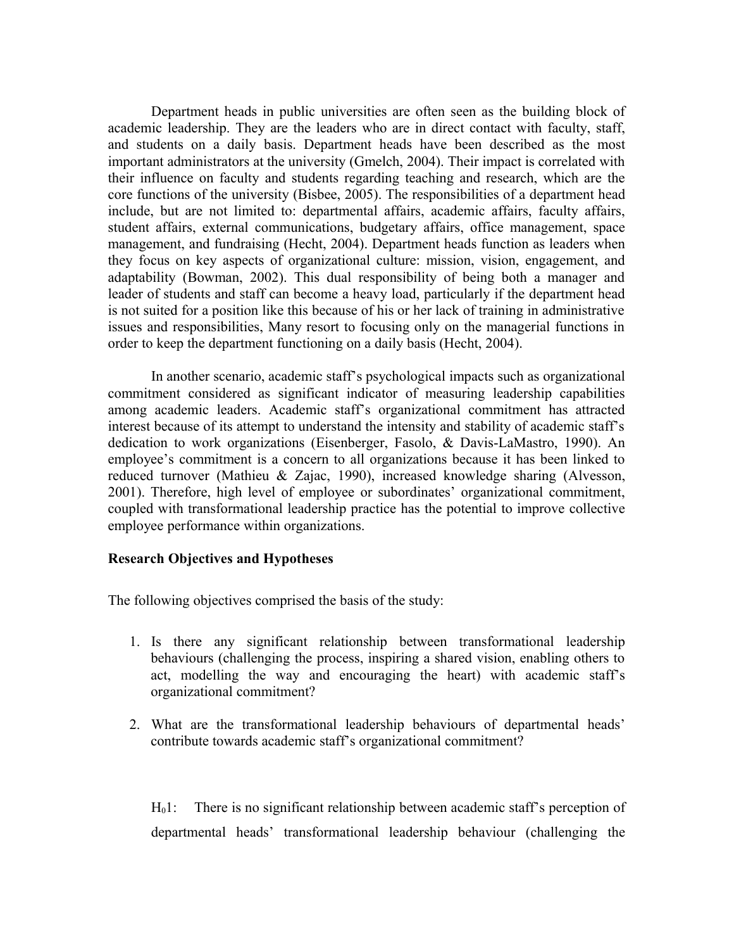Department heads in public universities are often seen as the building block of academic leadership. They are the leaders who are in direct contact with faculty, staff, and students on a daily basis. Department heads have been described as the most important administrators at the university (Gmelch, 2004). Their impact is correlated with their influence on faculty and students regarding teaching and research, which are the core functions of the university (Bisbee, 2005). The responsibilities of a department head include, but are not limited to: departmental affairs, academic affairs, faculty affairs, student affairs, external communications, budgetary affairs, office management, space management, and fundraising (Hecht, 2004). Department heads function as leaders when they focus on key aspects of organizational culture: mission, vision, engagement, and adaptability (Bowman, 2002). This dual responsibility of being both a manager and leader of students and staff can become a heavy load, particularly if the department head is not suited for a position like this because of his or her lack of training in administrative issues and responsibilities, Many resort to focusing only on the managerial functions in order to keep the department functioning on a daily basis (Hecht, 2004).

In another scenario, academic staff's psychological impacts such as organizational commitment considered as significant indicator of measuring leadership capabilities among academic leaders. Academic staff's organizational commitment has attracted interest because of its attempt to understand the intensity and stability of academic staff's dedication to work organizations (Eisenberger, Fasolo, & Davis-LaMastro, 1990). An employee's commitment is a concern to all organizations because it has been linked to reduced turnover (Mathieu & Zajac, 1990), increased knowledge sharing (Alvesson, 2001). Therefore, high level of employee or subordinates' organizational commitment, coupled with transformational leadership practice has the potential to improve collective employee performance within organizations.

#### **Research Objectives and Hypotheses**

The following objectives comprised the basis of the study:

- 1. Is there any significant relationship between transformational leadership behaviours (challenging the process, inspiring a shared vision, enabling others to act, modelling the way and encouraging the heart) with academic staff's organizational commitment?
- 2. What are the transformational leadership behaviours of departmental heads' contribute towards academic staff's organizational commitment?

 $H<sub>0</sub>1$ : There is no significant relationship between academic staff's perception of departmental heads' transformational leadership behaviour (challenging the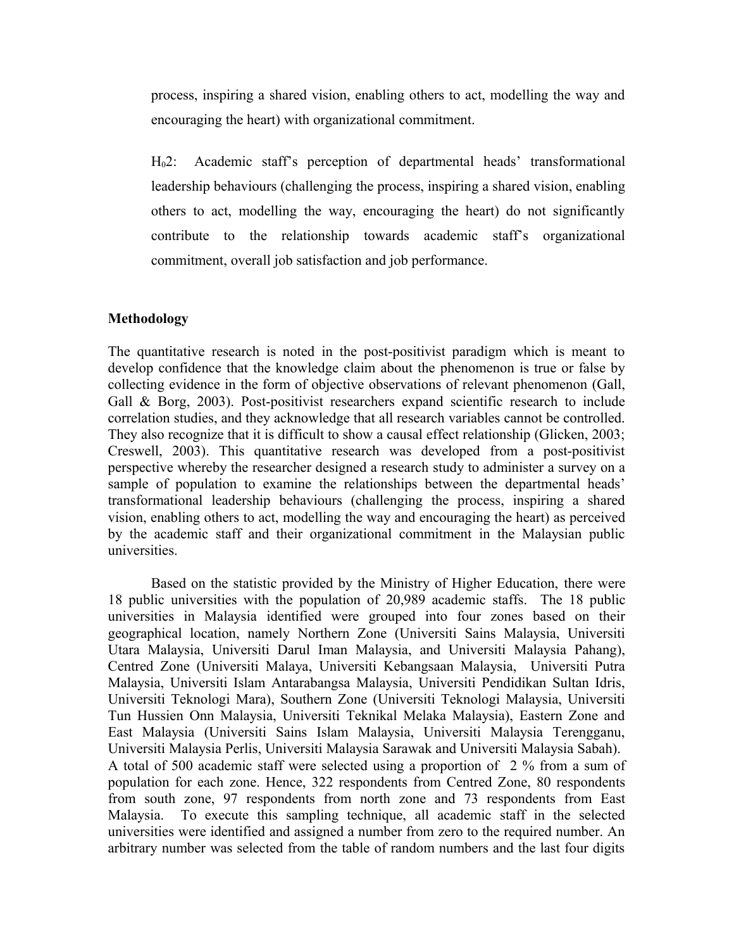process, inspiring a shared vision, enabling others to act, modelling the way and encouraging the heart) with organizational commitment.

H02: Academic staff's perception of departmental heads' transformational leadership behaviours (challenging the process, inspiring a shared vision, enabling others to act, modelling the way, encouraging the heart) do not significantly contribute to the relationship towards academic staff's organizational commitment, overall job satisfaction and job performance.

### **Methodology**

The quantitative research is noted in the post-positivist paradigm which is meant to develop confidence that the knowledge claim about the phenomenon is true or false by collecting evidence in the form of objective observations of relevant phenomenon (Gall, Gall & Borg, 2003). Post-positivist researchers expand scientific research to include correlation studies, and they acknowledge that all research variables cannot be controlled. They also recognize that it is difficult to show a causal effect relationship (Glicken, 2003; Creswell, 2003). This quantitative research was developed from a post-positivist perspective whereby the researcher designed a research study to administer a survey on a sample of population to examine the relationships between the departmental heads' transformational leadership behaviours (challenging the process, inspiring a shared vision, enabling others to act, modelling the way and encouraging the heart) as perceived by the academic staff and their organizational commitment in the Malaysian public universities.

Based on the statistic provided by the Ministry of Higher Education, there were 18 public universities with the population of 20,989 academic staffs. The 18 public universities in Malaysia identified were grouped into four zones based on their geographical location, namely Northern Zone (Universiti Sains Malaysia, Universiti Utara Malaysia, Universiti Darul Iman Malaysia, and Universiti Malaysia Pahang), Centred Zone (Universiti Malaya, Universiti Kebangsaan Malaysia, Universiti Putra Malaysia, Universiti Islam Antarabangsa Malaysia, Universiti Pendidikan Sultan Idris, Universiti Teknologi Mara), Southern Zone (Universiti Teknologi Malaysia, Universiti Tun Hussien Onn Malaysia, Universiti Teknikal Melaka Malaysia), Eastern Zone and East Malaysia (Universiti Sains Islam Malaysia, Universiti Malaysia Terengganu, Universiti Malaysia Perlis, Universiti Malaysia Sarawak and Universiti Malaysia Sabah). A total of 500 academic staff were selected using a proportion of 2 % from a sum of population for each zone. Hence, 322 respondents from Centred Zone, 80 respondents from south zone, 97 respondents from north zone and 73 respondents from East Malaysia. To execute this sampling technique, all academic staff in the selected universities were identified and assigned a number from zero to the required number. An arbitrary number was selected from the table of random numbers and the last four digits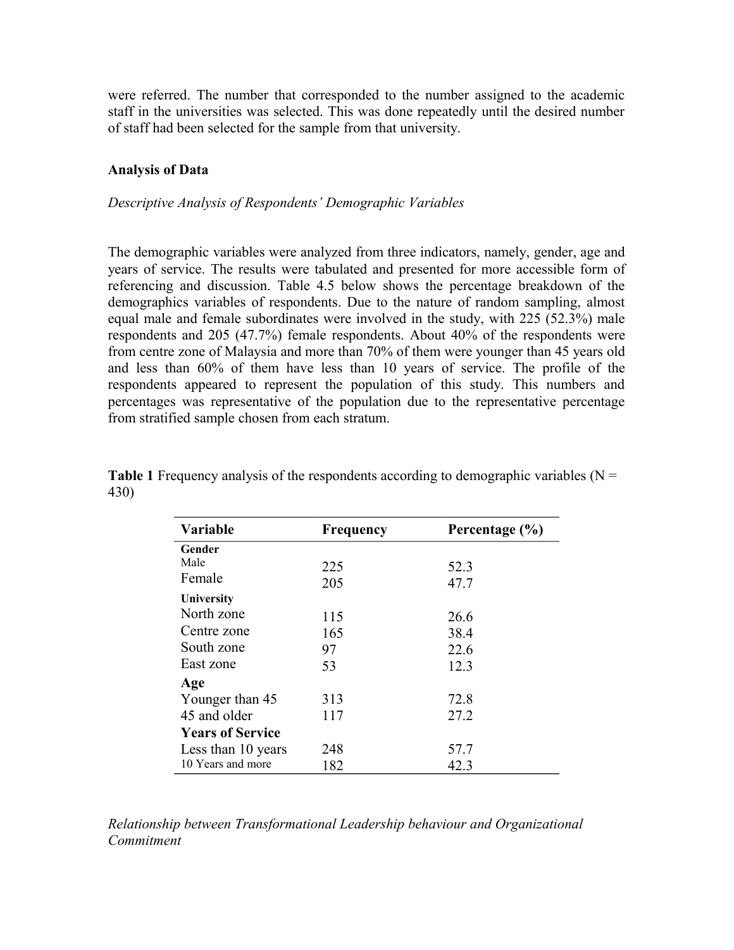were referred. The number that corresponded to the number assigned to the academic staff in the universities was selected. This was done repeatedly until the desired number of staff had been selected for the sample from that university.

# **Analysis of Data**

### *Descriptive Analysis of Respondents' Demographic Variables*

The demographic variables were analyzed from three indicators, namely, gender, age and years of service. The results were tabulated and presented for more accessible form of referencing and discussion. Table 4.5 below shows the percentage breakdown of the demographics variables of respondents. Due to the nature of random sampling, almost equal male and female subordinates were involved in the study, with 225 (52.3%) male respondents and 205 (47.7%) female respondents. About 40% of the respondents were from centre zone of Malaysia and more than 70% of them were younger than 45 years old and less than 60% of them have less than 10 years of service. The profile of the respondents appeared to represent the population of this study. This numbers and percentages was representative of the population due to the representative percentage from stratified sample chosen from each stratum.

| <b>Variable</b>         | <b>Frequency</b> | Percentage $(\% )$ |  |
|-------------------------|------------------|--------------------|--|
| Gender                  |                  |                    |  |
| Male                    | 225              | 52.3               |  |
| Female                  | 205              | 47.7               |  |
| University              |                  |                    |  |
| North zone              | 115              | 26.6               |  |
| Centre zone             | 165              | 38.4               |  |
| South zone              | 97               | 22.6               |  |
| East zone               | 53               | 12.3               |  |
| Age                     |                  |                    |  |
| Younger than 45         | 313              | 72.8               |  |
| 45 and older            | 117              | 27.2               |  |
| <b>Years of Service</b> |                  |                    |  |
| Less than 10 years      | 248              | 57.7               |  |
| 10 Years and more       | 182              | 42.3               |  |

**Table 1** Frequency analysis of the respondents according to demographic variables (N = 430)

*Relationship between Transformational Leadership behaviour and Organizational Commitment*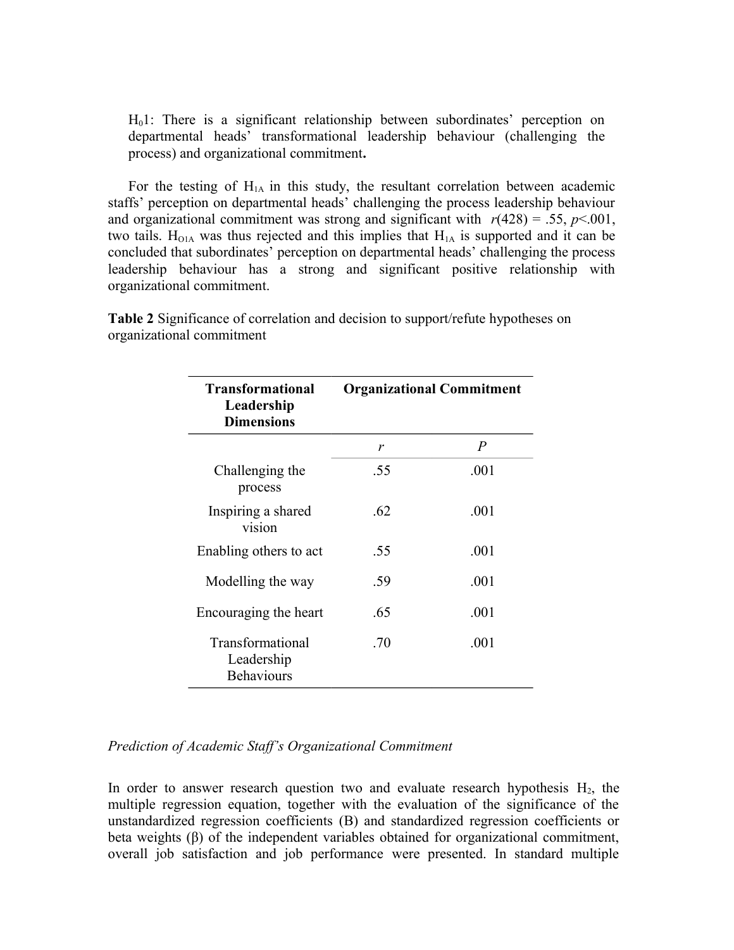H01: There is a significant relationship between subordinates' perception on departmental heads' transformational leadership behaviour (challenging the process) and organizational commitment**.** 

For the testing of  $H<sub>1A</sub>$  in this study, the resultant correlation between academic staffs' perception on departmental heads' challenging the process leadership behaviour and organizational commitment was strong and significant with  $r(428) = .55$ ,  $p < .001$ , two tails.  $H<sub>O1A</sub>$  was thus rejected and this implies that  $H<sub>1A</sub>$  is supported and it can be concluded that subordinates' perception on departmental heads' challenging the process leadership behaviour has a strong and significant positive relationship with organizational commitment.

| <b>Transformational</b><br>Leadership<br><b>Dimensions</b> | <b>Organizational Commitment</b> |                |
|------------------------------------------------------------|----------------------------------|----------------|
|                                                            | r                                | $\overline{P}$ |
| Challenging the<br>process                                 | .55                              | .001           |
| Inspiring a shared<br>vision                               | .62                              | .001           |
| Enabling others to act                                     | .55                              | .001           |
| Modelling the way                                          | .59                              | .001           |
| Encouraging the heart                                      | .65                              | .001           |
| Transformational<br>Leadership<br><b>Behaviours</b>        | .70                              | .001           |

**Table 2** Significance of correlation and decision to support/refute hypotheses on organizational commitment

# *Prediction of Academic Staff's Organizational Commitment*

In order to answer research question two and evaluate research hypothesis  $H_2$ , the multiple regression equation, together with the evaluation of the significance of the unstandardized regression coefficients (B) and standardized regression coefficients or beta weights (β) of the independent variables obtained for organizational commitment, overall job satisfaction and job performance were presented. In standard multiple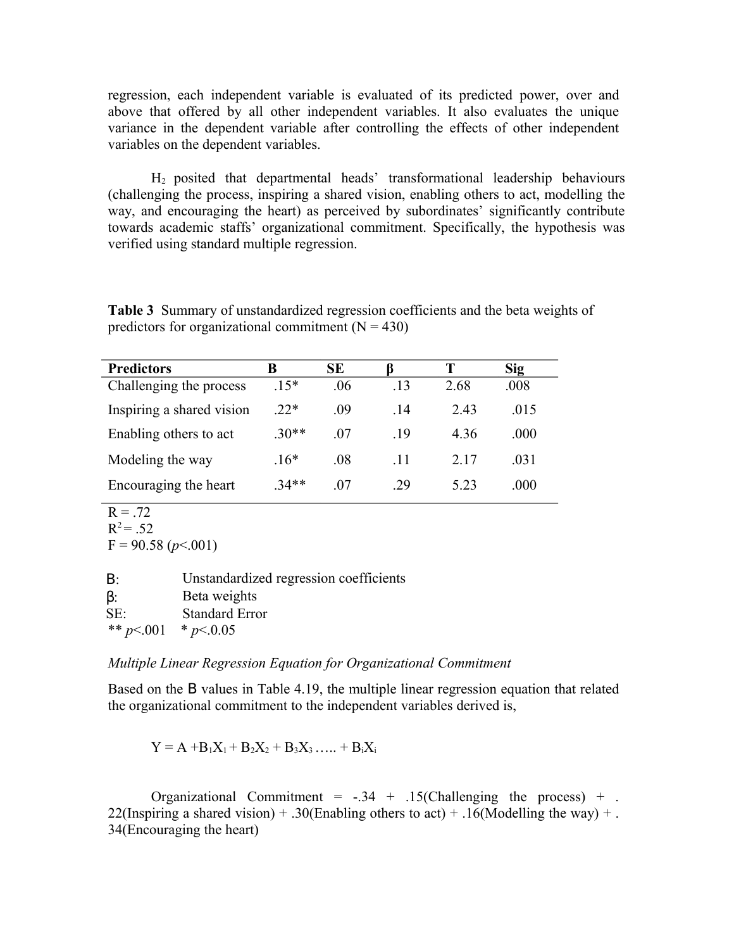regression, each independent variable is evaluated of its predicted power, over and above that offered by all other independent variables. It also evaluates the unique variance in the dependent variable after controlling the effects of other independent variables on the dependent variables.

H2 posited that departmental heads' transformational leadership behaviours (challenging the process, inspiring a shared vision, enabling others to act, modelling the way, and encouraging the heart) as perceived by subordinates' significantly contribute towards academic staffs' organizational commitment. Specifically, the hypothesis was verified using standard multiple regression.

**Table 3** Summary of unstandardized regression coefficients and the beta weights of predictors for organizational commitment  $(N = 430)$ 

| <b>Predictors</b>         | В       | SЕ  |     |      | <b>Sig</b> |
|---------------------------|---------|-----|-----|------|------------|
| Challenging the process   | $.15*$  | .06 | .13 | 2.68 | .008       |
| Inspiring a shared vision | $.22*$  | .09 | -14 | 243  | 015        |
| Enabling others to act    | $.30**$ | -07 | -19 | 4 36 | .000       |
| Modeling the way          | $.16*$  | .08 | -11 | 2.17 | .031       |
| Encouraging the heart     | $34**$  | .07 | 29  | 5.23 | .000       |

```
R = .72R^2 = .52F = 90.58 (p < 0.001)
```

| B:                     | Unstandardized regression coefficients |
|------------------------|----------------------------------------|
| $\beta$ :              | Beta weights                           |
| SE:                    | <b>Standard Error</b>                  |
| ** $p<0.01$ * $p<0.05$ |                                        |

### *Multiple Linear Regression Equation for Organizational Commitment*

Based on the B values in Table 4.19, the multiple linear regression equation that related the organizational commitment to the independent variables derived is,

 $Y = A + B_1X_1 + B_2X_2 + B_3X_3 + B_4X_5$ 

Organizational Commitment =  $-.34 + .15$ (Challenging the process) + . 22(Inspiring a shared vision) + .30(Enabling others to act) + .16(Modelling the way) +. 34(Encouraging the heart)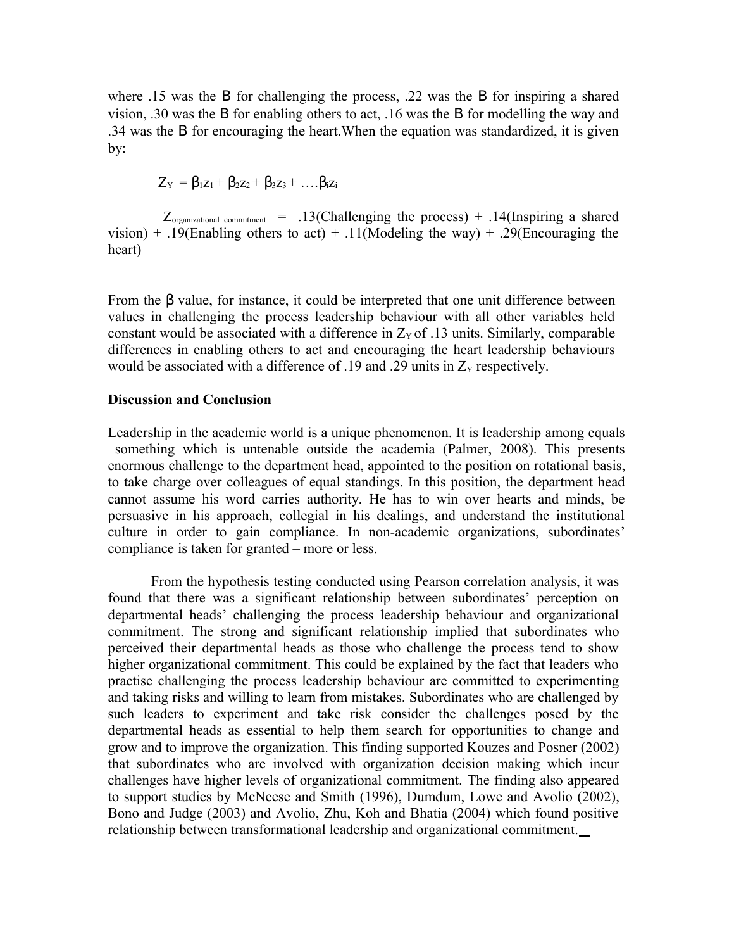where .15 was the B for challenging the process, .22 was the B for inspiring a shared vision, .30 was the Β for enabling others to act, .16 was the Β for modelling the way and .34 was the Β for encouraging the heart.When the equation was standardized, it is given by:

$$
Z_{\rm Y}=\beta_1z_1+\beta_2z_2+\beta_3z_3+\ldots\beta_iz_i
$$

 $Z_{\text{organizational commitment}}$  = .13(Challenging the process) + .14(Inspiring a shared vision) + .19(Enabling others to act) + .11(Modeling the way) + .29(Encouraging the heart)

From the β value, for instance, it could be interpreted that one unit difference between values in challenging the process leadership behaviour with all other variables held constant would be associated with a difference in  $Z_y$  of .13 units. Similarly, comparable differences in enabling others to act and encouraging the heart leadership behaviours would be associated with a difference of .19 and .29 units in  $Z<sub>Y</sub>$  respectively.

#### **Discussion and Conclusion**

Leadership in the academic world is a unique phenomenon. It is leadership among equals –something which is untenable outside the academia (Palmer, 2008). This presents enormous challenge to the department head, appointed to the position on rotational basis, to take charge over colleagues of equal standings. In this position, the department head cannot assume his word carries authority. He has to win over hearts and minds, be persuasive in his approach, collegial in his dealings, and understand the institutional culture in order to gain compliance. In non-academic organizations, subordinates' compliance is taken for granted – more or less.

From the hypothesis testing conducted using Pearson correlation analysis, it was found that there was a significant relationship between subordinates' perception on departmental heads' challenging the process leadership behaviour and organizational commitment. The strong and significant relationship implied that subordinates who perceived their departmental heads as those who challenge the process tend to show higher organizational commitment. This could be explained by the fact that leaders who practise challenging the process leadership behaviour are committed to experimenting and taking risks and willing to learn from mistakes. Subordinates who are challenged by such leaders to experiment and take risk consider the challenges posed by the departmental heads as essential to help them search for opportunities to change and grow and to improve the organization. This finding supported Kouzes and Posner (2002) that subordinates who are involved with organization decision making which incur challenges have higher levels of organizational commitment. The finding also appeared to support studies by McNeese and Smith (1996), Dumdum, Lowe and Avolio (2002), Bono and Judge (2003) and Avolio, Zhu, Koh and Bhatia (2004) which found positive relationship between transformational leadership and organizational commitment.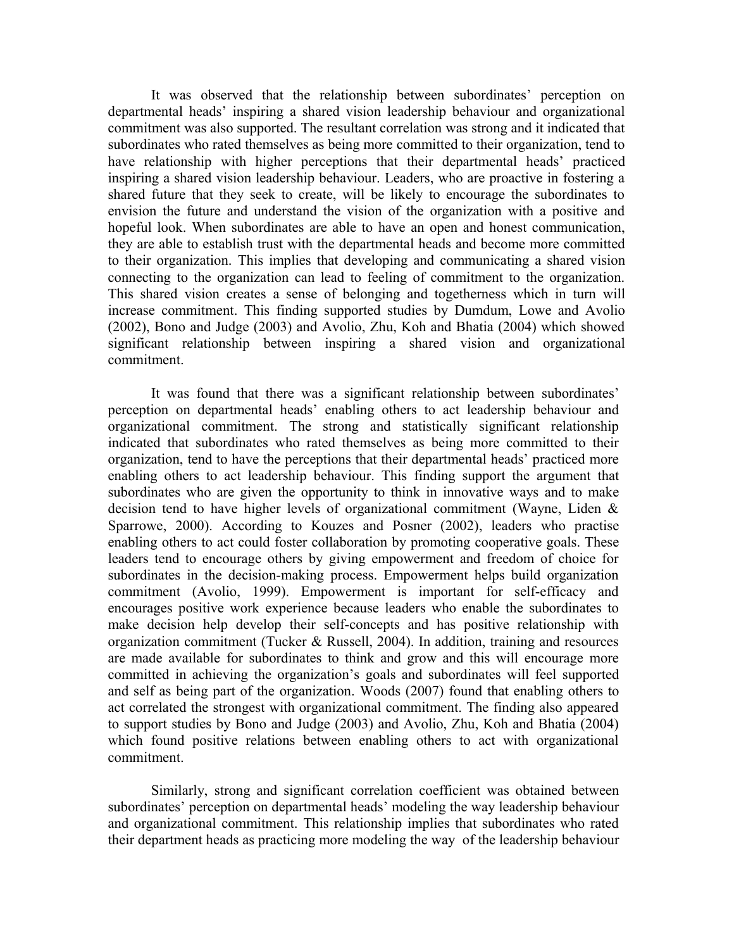It was observed that the relationship between subordinates' perception on departmental heads' inspiring a shared vision leadership behaviour and organizational commitment was also supported. The resultant correlation was strong and it indicated that subordinates who rated themselves as being more committed to their organization, tend to have relationship with higher perceptions that their departmental heads' practiced inspiring a shared vision leadership behaviour. Leaders, who are proactive in fostering a shared future that they seek to create, will be likely to encourage the subordinates to envision the future and understand the vision of the organization with a positive and hopeful look. When subordinates are able to have an open and honest communication, they are able to establish trust with the departmental heads and become more committed to their organization. This implies that developing and communicating a shared vision connecting to the organization can lead to feeling of commitment to the organization. This shared vision creates a sense of belonging and togetherness which in turn will increase commitment. This finding supported studies by Dumdum, Lowe and Avolio (2002), Bono and Judge (2003) and Avolio, Zhu, Koh and Bhatia (2004) which showed significant relationship between inspiring a shared vision and organizational commitment.

It was found that there was a significant relationship between subordinates' perception on departmental heads' enabling others to act leadership behaviour and organizational commitment. The strong and statistically significant relationship indicated that subordinates who rated themselves as being more committed to their organization, tend to have the perceptions that their departmental heads' practiced more enabling others to act leadership behaviour. This finding support the argument that subordinates who are given the opportunity to think in innovative ways and to make decision tend to have higher levels of organizational commitment (Wayne, Liden & Sparrowe, 2000). According to Kouzes and Posner (2002), leaders who practise enabling others to act could foster collaboration by promoting cooperative goals. These leaders tend to encourage others by giving empowerment and freedom of choice for subordinates in the decision-making process. Empowerment helps build organization commitment (Avolio, 1999). Empowerment is important for self-efficacy and encourages positive work experience because leaders who enable the subordinates to make decision help develop their self-concepts and has positive relationship with organization commitment (Tucker & Russell, 2004). In addition, training and resources are made available for subordinates to think and grow and this will encourage more committed in achieving the organization's goals and subordinates will feel supported and self as being part of the organization. Woods (2007) found that enabling others to act correlated the strongest with organizational commitment. The finding also appeared to support studies by Bono and Judge (2003) and Avolio, Zhu, Koh and Bhatia (2004) which found positive relations between enabling others to act with organizational commitment.

Similarly, strong and significant correlation coefficient was obtained between subordinates' perception on departmental heads' modeling the way leadership behaviour and organizational commitment. This relationship implies that subordinates who rated their department heads as practicing more modeling the way of the leadership behaviour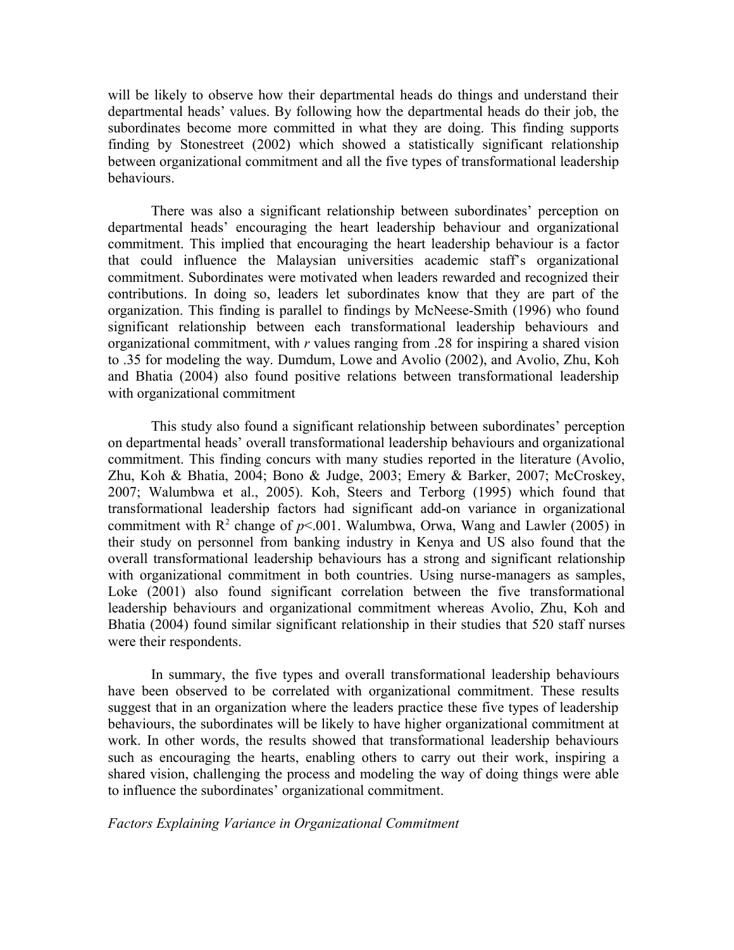will be likely to observe how their departmental heads do things and understand their departmental heads' values. By following how the departmental heads do their job, the subordinates become more committed in what they are doing. This finding supports finding by Stonestreet (2002) which showed a statistically significant relationship between organizational commitment and all the five types of transformational leadership behaviours.

There was also a significant relationship between subordinates' perception on departmental heads' encouraging the heart leadership behaviour and organizational commitment. This implied that encouraging the heart leadership behaviour is a factor that could influence the Malaysian universities academic staff's organizational commitment. Subordinates were motivated when leaders rewarded and recognized their contributions. In doing so, leaders let subordinates know that they are part of the organization. This finding is parallel to findings by McNeese-Smith (1996) who found significant relationship between each transformational leadership behaviours and organizational commitment, with *r* values ranging from .28 for inspiring a shared vision to .35 for modeling the way. Dumdum, Lowe and Avolio (2002), and Avolio, Zhu, Koh and Bhatia (2004) also found positive relations between transformational leadership with organizational commitment

This study also found a significant relationship between subordinates' perception on departmental heads' overall transformational leadership behaviours and organizational commitment. This finding concurs with many studies reported in the literature (Avolio, Zhu, Koh & Bhatia, 2004; Bono & Judge, 2003; Emery & Barker, 2007; McCroskey, 2007; Walumbwa et al., 2005). Koh, Steers and Terborg (1995) which found that transformational leadership factors had significant add-on variance in organizational commitment with  $R^2$  change of  $p<0.01$ . Walumbwa, Orwa, Wang and Lawler (2005) in their study on personnel from banking industry in Kenya and US also found that the overall transformational leadership behaviours has a strong and significant relationship with organizational commitment in both countries. Using nurse-managers as samples, Loke (2001) also found significant correlation between the five transformational leadership behaviours and organizational commitment whereas Avolio, Zhu, Koh and Bhatia (2004) found similar significant relationship in their studies that 520 staff nurses were their respondents.

In summary, the five types and overall transformational leadership behaviours have been observed to be correlated with organizational commitment. These results suggest that in an organization where the leaders practice these five types of leadership behaviours, the subordinates will be likely to have higher organizational commitment at work. In other words, the results showed that transformational leadership behaviours such as encouraging the hearts, enabling others to carry out their work, inspiring a shared vision, challenging the process and modeling the way of doing things were able to influence the subordinates' organizational commitment.

### *Factors Explaining Variance in Organizational Commitment*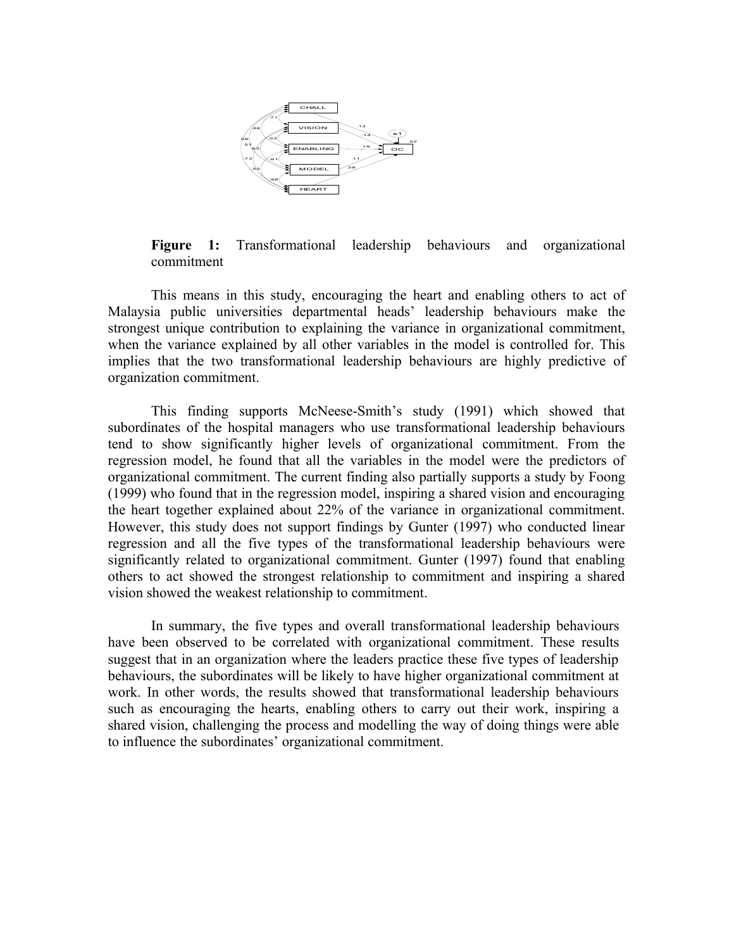

**Figure 1:** Transformational leadership behaviours and organizational commitment

This means in this study, encouraging the heart and enabling others to act of Malaysia public universities departmental heads' leadership behaviours make the strongest unique contribution to explaining the variance in organizational commitment, when the variance explained by all other variables in the model is controlled for. This implies that the two transformational leadership behaviours are highly predictive of organization commitment.

This finding supports McNeese-Smith's study (1991) which showed that subordinates of the hospital managers who use transformational leadership behaviours tend to show significantly higher levels of organizational commitment. From the regression model, he found that all the variables in the model were the predictors of organizational commitment. The current finding also partially supports a study by Foong (1999) who found that in the regression model, inspiring a shared vision and encouraging the heart together explained about 22% of the variance in organizational commitment. However, this study does not support findings by Gunter (1997) who conducted linear regression and all the five types of the transformational leadership behaviours were significantly related to organizational commitment. Gunter (1997) found that enabling others to act showed the strongest relationship to commitment and inspiring a shared vision showed the weakest relationship to commitment.

In summary, the five types and overall transformational leadership behaviours have been observed to be correlated with organizational commitment. These results suggest that in an organization where the leaders practice these five types of leadership behaviours, the subordinates will be likely to have higher organizational commitment at work. In other words, the results showed that transformational leadership behaviours such as encouraging the hearts, enabling others to carry out their work, inspiring a shared vision, challenging the process and modelling the way of doing things were able to influence the subordinates' organizational commitment.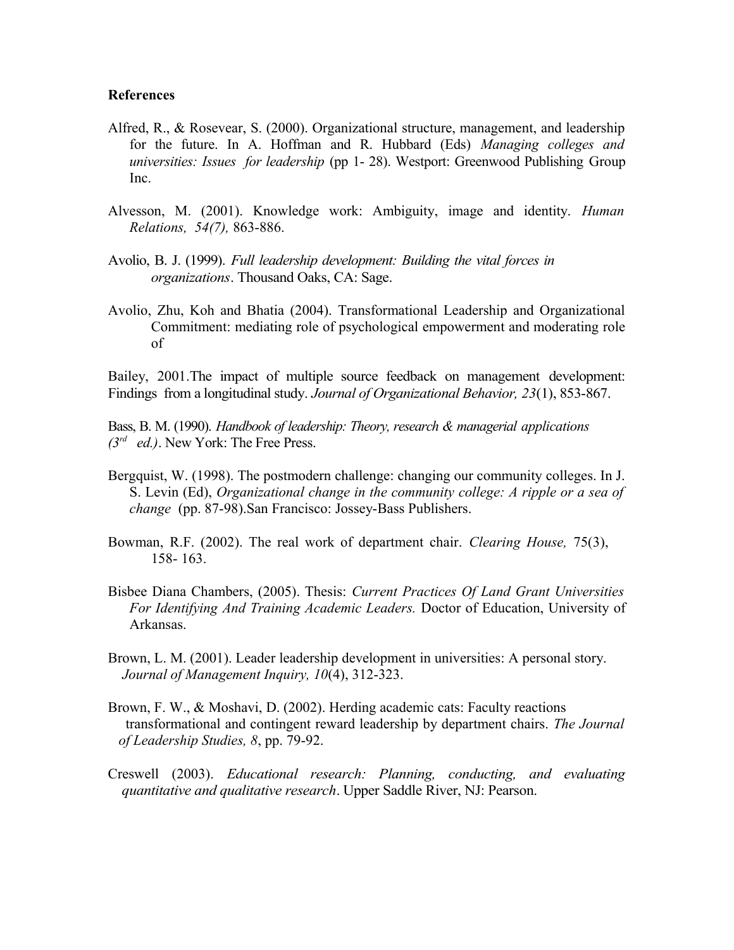#### **References**

- Alfred, R., & Rosevear, S. (2000). Organizational structure, management, and leadership for the future. In A. Hoffman and R. Hubbard (Eds) *Managing colleges and universities: Issues for leadership* (pp 1- 28). Westport: Greenwood Publishing Group Inc.
- Alvesson, M. (2001). Knowledge work: Ambiguity, image and identity. *Human Relations, 54(7),* 863-886.
- Avolio, B. J. (1999). *Full leadership development: Building the vital forces in organizations*. Thousand Oaks, CA: Sage.
- Avolio, Zhu, Koh and Bhatia (2004). Transformational Leadership and Organizational Commitment: mediating role of psychological empowerment and moderating role of

Bailey, 2001.The impact of multiple source feedback on management development: Findings from a longitudinal study. *Journal of Organizational Behavior, 23*(1), 853-867.

Bass, B. M. (1990). *Handbook of leadership: Theory, research & managerial applications (3rd ed.)*. New York: The Free Press.

- Bergquist, W. (1998). The postmodern challenge: changing our community colleges. In J. S. Levin (Ed), *Organizational change in the community college: A ripple or a sea of change* (pp. 87-98).San Francisco: Jossey-Bass Publishers.
- Bowman, R.F. (2002). The real work of department chair. *Clearing House,* 75(3), 158- 163.
- Bisbee Diana Chambers, (2005). Thesis: *Current Practices Of Land Grant Universities For Identifying And Training Academic Leaders.* Doctor of Education, University of Arkansas.
- Brown, L. M. (2001). Leader leadership development in universities: A personal story. *Journal of Management Inquiry, 10*(4), 312-323.
- Brown, F. W., & Moshavi, D. (2002). Herding academic cats: Faculty reactions transformational and contingent reward leadership by department chairs. *The Journal of Leadership Studies, 8*, pp. 79-92.
- Creswell (2003). *Educational research: Planning, conducting, and evaluating quantitative and qualitative research*. Upper Saddle River, NJ: Pearson.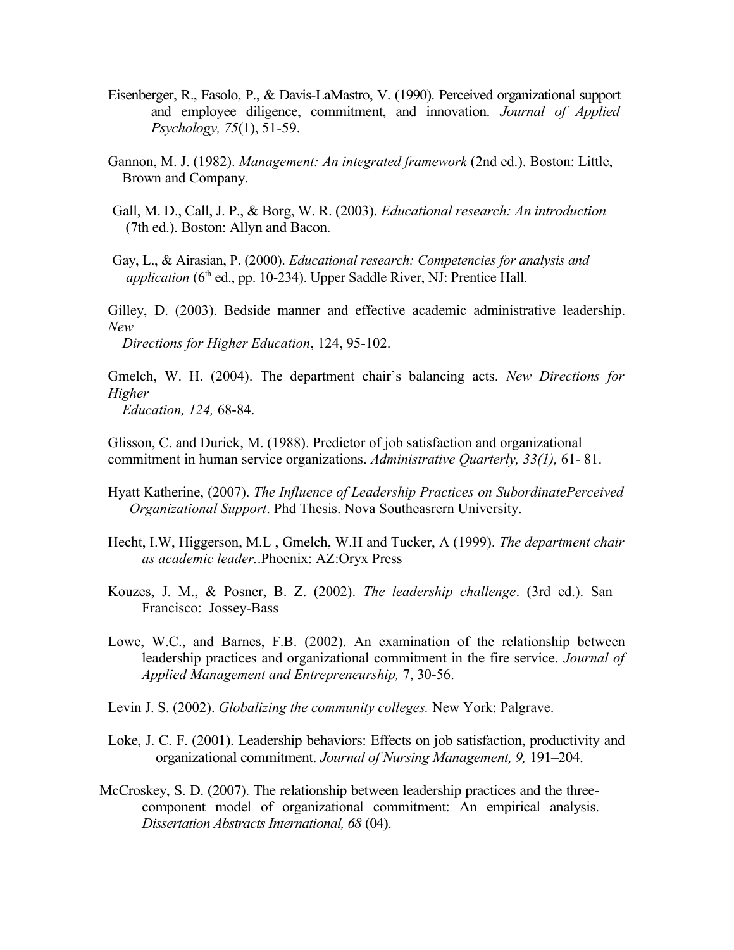- Eisenberger, R., Fasolo, P., & Davis-LaMastro, V. (1990). Perceived organizational support and employee diligence, commitment, and innovation. *Journal of Applied Psychology, 75*(1), 51-59.
- Gannon, M. J. (1982). *Management: An integrated framework* (2nd ed.). Boston: Little, Brown and Company.
- Gall, M. D., Call, J. P., & Borg, W. R. (2003). *Educational research: An introduction* (7th ed.). Boston: Allyn and Bacon.
- Gay, L., & Airasian, P. (2000). *Educational research: Competencies for analysis and application* (6<sup>th</sup> ed., pp. 10-234). Upper Saddle River, NJ: Prentice Hall.

Gilley, D. (2003). Bedside manner and effective academic administrative leadership. *New* 

 *Directions for Higher Education*, 124, 95-102.

Gmelch, W. H. (2004). The department chair's balancing acts. *New Directions for Higher Education, 124,* 68-84.

Glisson, C. and Durick, M. (1988). Predictor of job satisfaction and organizational commitment in human service organizations. *Administrative Quarterly, 33(1),* 61- 81.

- Hyatt Katherine, (2007). *The Influence of Leadership Practices on SubordinatePerceived Organizational Support*. Phd Thesis. Nova Southeasrern University.
- Hecht, I.W, Higgerson, M.L , Gmelch, W.H and Tucker, A (1999). *The department chair as academic leader.*.Phoenix: AZ:Oryx Press
- Kouzes, J. M., & Posner, B. Z. (2002). *The leadership challenge*. (3rd ed.). San Francisco: Jossey-Bass
- Lowe, W.C., and Barnes, F.B. (2002). An examination of the relationship between leadership practices and organizational commitment in the fire service. *Journal of Applied Management and Entrepreneurship,* 7, 30-56.
- Levin J. S. (2002). *Globalizing the community colleges.* New York: Palgrave.
- Loke, J. C. F. (2001). Leadership behaviors: Effects on job satisfaction, productivity and organizational commitment. *Journal of Nursing Management, 9,* 191–204.
- McCroskey, S. D. (2007). The relationship between leadership practices and the threecomponent model of organizational commitment: An empirical analysis. *Dissertation Abstracts International, 68* (04).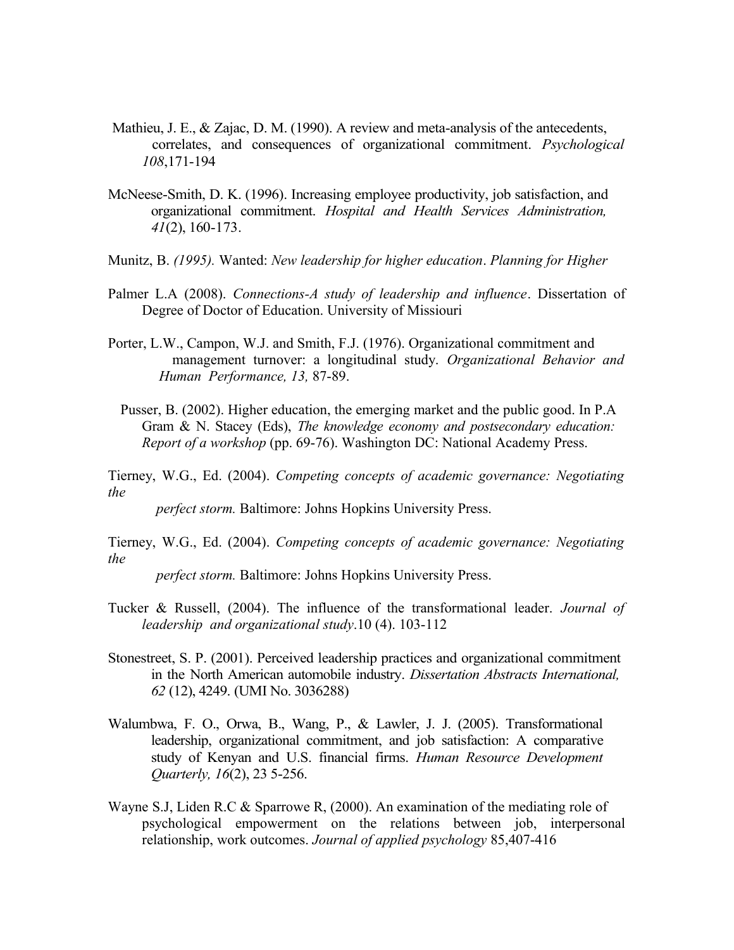- Mathieu, J. E., & Zajac, D. M. (1990). A review and meta-analysis of the antecedents, correlates, and consequences of organizational commitment. *Psychological 108*,171-194
- McNeese-Smith, D. K. (1996). Increasing employee productivity, job satisfaction, and organizational commitment. *Hospital and Health Services Administration, 41*(2), 160-173.
- Munitz, B. *(1995).* Wanted: *New leadership for higher education*. *Planning for Higher*
- Palmer L.A (2008). *Connections-A study of leadership and influence*. Dissertation of Degree of Doctor of Education. University of Missiouri
- Porter, L.W., Campon, W.J. and Smith, F.J. (1976). Organizational commitment and management turnover: a longitudinal study. *Organizational Behavior and Human Performance, 13,* 87-89.
- Pusser, B. (2002). Higher education, the emerging market and the public good. In P.A Gram & N. Stacey (Eds), *The knowledge economy and postsecondary education: Report of a workshop* (pp. 69-76). Washington DC: National Academy Press.

Tierney, W.G., Ed. (2004). *Competing concepts of academic governance: Negotiating the* 

 *perfect storm.* Baltimore: Johns Hopkins University Press.

Tierney, W.G., Ed. (2004). *Competing concepts of academic governance: Negotiating the* 

 *perfect storm.* Baltimore: Johns Hopkins University Press.

- Tucker & Russell, (2004). The influence of the transformational leader. *Journal of leadership and organizational study*.10 (4). 103-112
- Stonestreet, S. P. (2001). Perceived leadership practices and organizational commitment in the North American automobile industry. *Dissertation Abstracts International, 62* (12), 4249. (UMI No. 3036288)
- Walumbwa, F. O., Orwa, B., Wang, P., & Lawler, J. J. (2005). Transformational leadership, organizational commitment, and job satisfaction: A comparative study of Kenyan and U.S. financial firms. *Human Resource Development Quarterly, 16*(2), 23 5-256.
- Wayne S.J, Liden R.C & Sparrowe R, (2000). An examination of the mediating role of psychological empowerment on the relations between job, interpersonal relationship, work outcomes. *Journal of applied psychology* 85,407-416